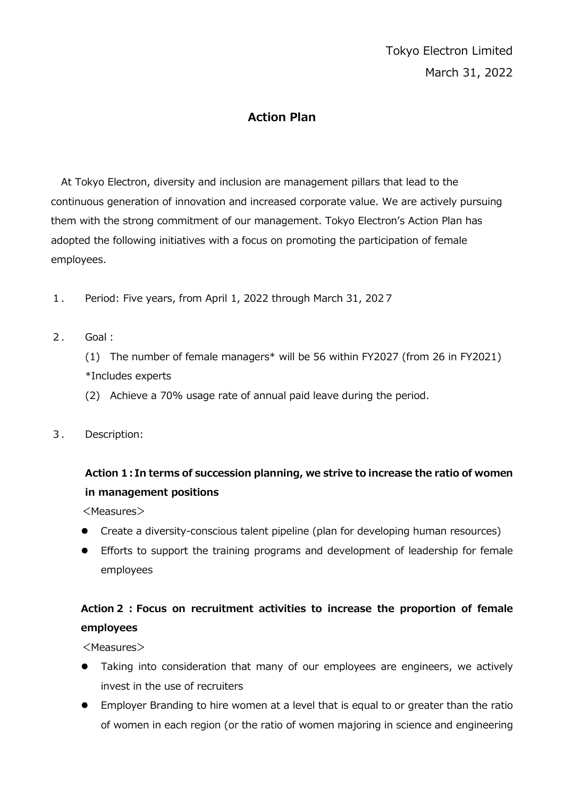#### **Action Plan**

At Tokyo Electron, diversity and inclusion are management pillars that lead to the continuous generation of innovation and increased corporate value. We are actively pursuing them with the strong commitment of our management. Tokyo Electron's Action Plan has adopted the following initiatives with a focus on promoting the participation of female employees.

- 1. Period: Five years, from April 1, 2022 through March 31, 2027
- 2. Goal:

(1) The number of female managers\* will be 56 within FY2027 (from 26 in FY2021) \*Includes experts

- (2) Achieve a 70% usage rate of annual paid leave during the period.
- 3. Description:

## **Action 1:In terms of succession planning, we strive to increase the ratio of women in management positions**

<Measures>

- Create a diversity-conscious talent pipeline (plan for developing human resources)
- Efforts to support the training programs and development of leadership for female employees

## **Action2:Focus on recruitment activities to increase the proportion of female employees**

<Measures>

- Taking into consideration that many of our employees are engineers, we actively invest in the use of recruiters
- Employer Branding to hire women at a level that is equal to or greater than the ratio of women in each region (or the ratio of women majoring in science and engineering